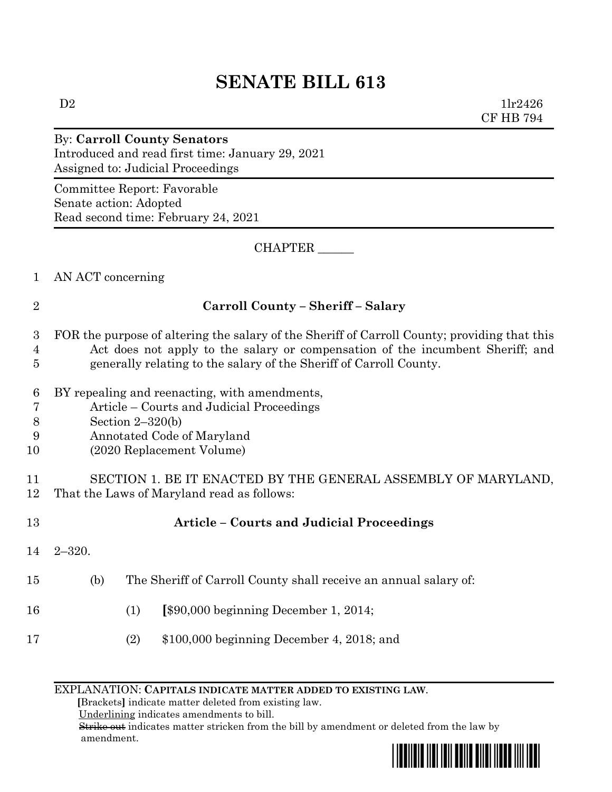# **SENATE BILL 613**

 $D2$   $1\text{lr}2426$ CF HB 794

#### By: **Carroll County Senators** Introduced and read first time: January 29, 2021 Assigned to: Judicial Proceedings

Committee Report: Favorable Senate action: Adopted Read second time: February 24, 2021

CHAPTER \_\_\_\_\_\_

1 AN ACT concerning

### 2 **Carroll County – Sheriff – Salary**

#### 3 FOR the purpose of altering the salary of the Sheriff of Carroll County; providing that this 4 Act does not apply to the salary or compensation of the incumbent Sheriff; and 5 generally relating to the salary of the Sheriff of Carroll County.

- 
- 6 BY repealing and reenacting, with amendments, 7 Article – Courts and Judicial Proceedings
- 
- 8 Section 2–320(b)
- 9 Annotated Code of Maryland
- 10 (2020 Replacement Volume)

11 SECTION 1. BE IT ENACTED BY THE GENERAL ASSEMBLY OF MARYLAND, 12 That the Laws of Maryland read as follows:

14 2–320.

## 13 **Article – Courts and Judicial Proceedings**

- 15 (b) The Sheriff of Carroll County shall receive an annual salary of:
- 16 (1) **[**\$90,000 beginning December 1, 2014;
- 17 (2) \$100,000 beginning December 4, 2018; and

#### EXPLANATION: **CAPITALS INDICATE MATTER ADDED TO EXISTING LAW**.

 **[**Brackets**]** indicate matter deleted from existing law.

Underlining indicates amendments to bill.

 Strike out indicates matter stricken from the bill by amendment or deleted from the law by amendment.